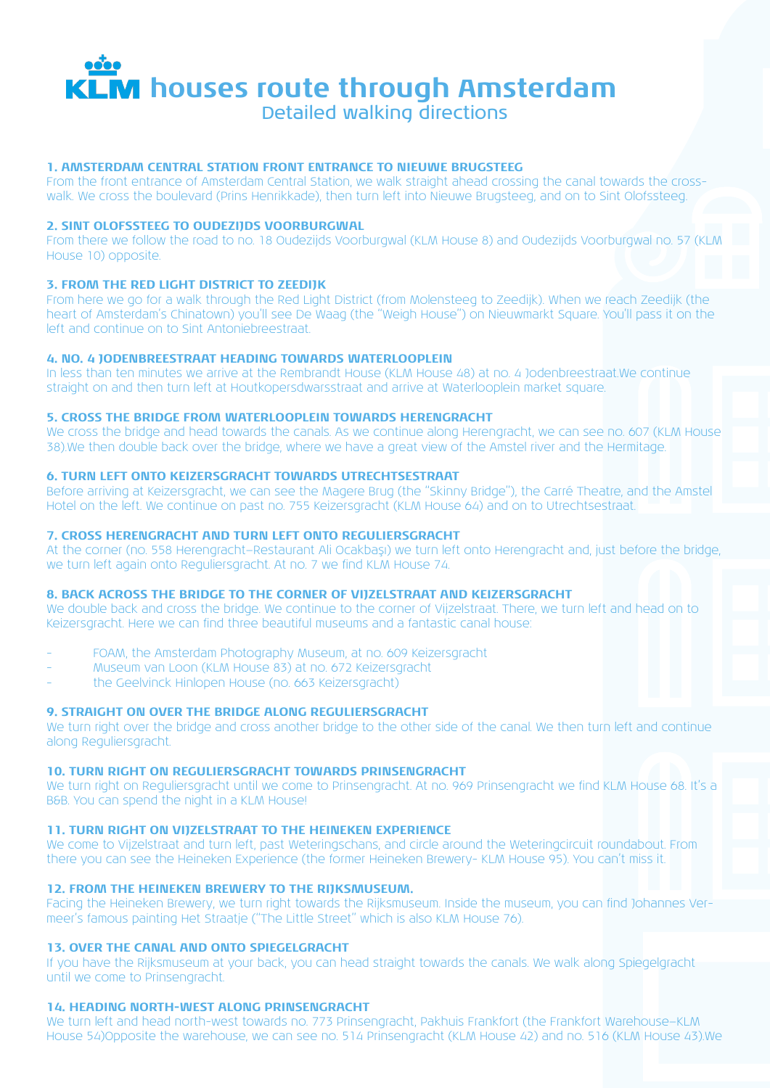

Detailed walking directions

# **1. AMSTERDAM CENTRAL STATION FRONT ENTRANCE TO NIEUWE BRUGSTEEG**

From the front entrance of Amsterdam Central Station, we walk straight ahead crossing the canal towards the crosswalk. We cross the boulevard (Prins Henrikkade), then turn left into Nieuwe Brugsteeg, and on to Sint Olofssteeg.

# **2. SINT OLOFSSTEEG TO OUDEZIJDS VOORBURGWAL**

From there we follow the road to no. 18 Oudezijds Voorburgwal (KLM House 8) and Oudezijds Voorburgwal no. 57 (KLM House 10) opposite.

# **3. FROM THE RED LIGHT DISTRICT TO ZEEDIJK**

From here we go for a walk through the Red Light District (from Molensteeg to Zeedijk). When we reach Zeedijk (the heart of Amsterdam's Chinatown) you'll see De Waag (the "Weigh House") on Nieuwmarkt Square. You'll pass it on the left and continue on to Sint Antoniebreestraat.

# **4. NO. 4 JODENBREESTRAAT HEADING TOWARDS WATERLOOPLEIN**

In less than ten minutes we arrive at the Rembrandt House (KLM House 48) at no. 4 Jodenbreestraat.We continue straight on and then turn left at Houtkopersdwarsstraat and arrive at Waterlooplein market square.

# **5. CROSS THE BRIDGE FROM WATERLOOPLEIN TOWARDS HERENGRACHT**

We cross the bridge and head towards the canals. As we continue along Herengracht, we can see no. 607 (KLM House 38).We then double back over the bridge, where we have a great view of the Amstel river and the Hermitage.

# **6. TURN LEFT ONTO KEIZERSGRACHT TOWARDS UTRECHTSESTRAAT**

Before arriving at Keizersgracht, we can see the Magere Brug (the "Skinny Bridge"), the Carré Theatre, and the Amstel Hotel on the left. We continue on past no. 755 Keizersgracht (KLM House 64) and on to Utrechtsestraat.

# **7. CROSS HERENGRACHT AND TURN LEFT ONTO REGULIERSGRACHT**

At the corner (no. 558 Herengracht—Restaurant Ali Ocakbaşı) we turn left onto Herengracht and, just before the bridge, we turn left again onto Reguliersgracht. At no. 7 we find KLM House 74.

#### **8. BACK ACROSS THE BRIDGE TO THE CORNER OF VIJZELSTRAAT AND KEIZERSGRACHT**

We double back and cross the bridge. We continue to the corner of Vijzelstraat. There, we turn left and head on to Keizersgracht. Here we can find three beautiful museums and a fantastic canal house:

- FOAM, the Amsterdam Photography Museum, at no. 609 Keizersgracht
- Museum van Loon (KLM House 83) at no. 672 Keizersgracht
- the Geelvinck Hinlopen House (no. 663 Keizersgracht)

# **9. STRAIGHT ON OVER THE BRIDGE ALONG REGULIERSGRACHT**

We turn right over the bridge and cross another bridge to the other side of the canal. We then turn left and continue along Reguliersgracht.

# **10. TURN RIGHT ON REGULIERSGRACHT TOWARDS PRINSENGRACHT**

We turn right on Reguliersgracht until we come to Prinsengracht. At no. 969 Prinsengracht we find KLM House 68. It's a B&B. You can spend the night in a KLM House!

# **11. TURN RIGHT ON VIJZELSTRAAT TO THE HEINEKEN EXPERIENCE**

We come to Vijzelstraat and turn left, past Weteringschans, and circle around the Weteringcircuit roundabout. From there you can see the Heineken Experience (the former Heineken Brewery- KLM House 95). You can't miss it.

# **12. FROM THE HEINEKEN BREWERY TO THE RIJKSMUSEUM.**

Facing the Heineken Brewery, we turn right towards the Rijksmuseum. Inside the museum, you can find Johannes Vermeer's famous painting Het Straatje ("The Little Street" which is also KLM House 76).

#### **13. OVER THE CANAL AND ONTO SPIEGELGRACHT**

If you have the Rijksmuseum at your back, you can head straight towards the canals. We walk along Spiegelgracht until we come to Prinsengracht.

#### **14. HEADING NORTH-WEST ALONG PRINSENGRACHT**

We turn left and head north-west towards no. 773 Prinsengracht, Pakhuis Frankfort (the Frankfort Warehouse—KLM House 54)Opposite the warehouse, we can see no. 514 Prinsengracht (KLM House 42) and no. 516 (KLM House 43).We